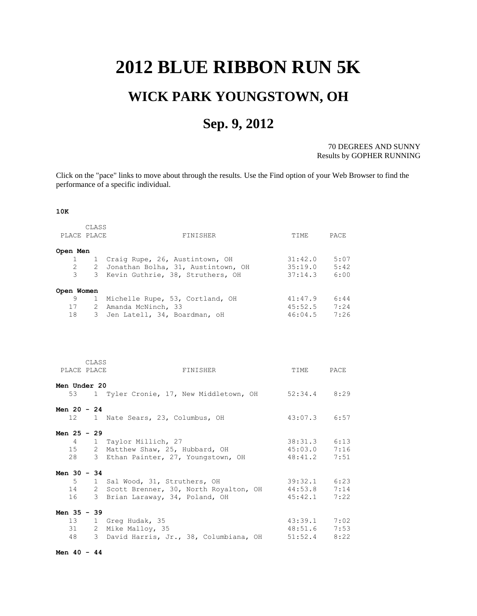## <span id="page-0-0"></span>**2012 BLUE RIBBON RUN 5K**

# **WICK PARK YOUNGSTOWN, OH**

## **Sep. 9, 2012**

70 DEGREES AND SUNNY Results by GOPHER RUNNING

Click on the "pace" links to move about through the results. Use the Find option of your Web Browser to find the performance of a specific individual.

#### **10K**

| PLACE PLACE                                       | CLASS | FINISHER                                                                                                                         | TIME                                     | PACE                         |
|---------------------------------------------------|-------|----------------------------------------------------------------------------------------------------------------------------------|------------------------------------------|------------------------------|
| Open Men<br>1<br>$\mathbf{2}^{\circ}$<br>3        |       | 1 Craig Rupe, 26, Austintown, OH<br>2 Jonathan Bolha, 31, Austintown, OH<br>3 Kevin Guthrie, 38, Struthers, OH                   | 31:42.0<br>35:19.0<br>37:14.3            | 5:07<br>5:42<br>6:00         |
| Open Women<br>9<br>17<br>18                       | 1     | Michelle Rupe, 53, Cortland, OH<br>2 Amanda McNinch, 33<br>3 Jen Latell, 34, Boardman, oH                                        | 41:47.9<br>45:52.5<br>46:04.5            | 6:44<br>7:24<br>7:26         |
| PLACE PLACE<br><b>Men Under 20</b>                | CLASS | FINISHER                                                                                                                         | TIME                                     | PACE                         |
| Men $20 - 24$                                     |       | 53 1 Tyler Cronie, 17, New Middletown, OH                                                                                        | 52:34.4                                  | 8:29                         |
| 12<br>Men $25 - 29$<br>$\overline{4}$<br>15<br>28 |       | 1 Nate Sears, 23, Columbus, OH<br>1 Taylor Millich, 27<br>2 Matthew Shaw, 25, Hubbard, OH<br>3 Ethan Painter, 27, Youngstown, OH | 43:07.3<br>38:31.3<br>45:03.0<br>48:41.2 | 6:57<br>6:13<br>7:16<br>7:51 |
| Men 30 - 34<br>$5 -$<br>14<br>16                  |       | 1 Sal Wood, 31, Struthers, OH<br>2 Scott Brenner, 30, North Royalton, OH<br>3 Brian Laraway, 34, Poland, OH                      | 39:32.1<br>44:53.8<br>45:42.1            | 6:23<br>7:14<br>7:22         |
| Men 35 - 39<br>13<br>31<br>48                     |       | 1 Greg Hudak, 35<br>2 Mike Malloy, 35<br>3 David Harris, Jr., 38, Columbiana, OH                                                 | 43:39.1<br>48:51.6<br>51:52.4            | 7:02<br>7:53<br>8:22         |

**Men 40 - 44**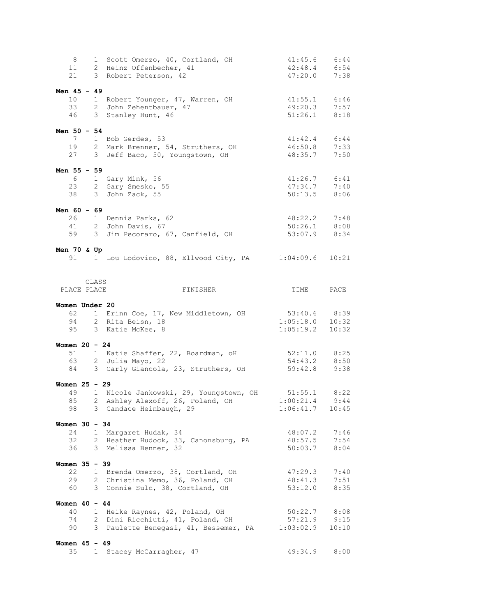| 8                     |      |              | 1 Scott Omerzo, 40, Cortland, OH       | 41:45.6                    | 6:44  |
|-----------------------|------|--------------|----------------------------------------|----------------------------|-------|
| 11                    |      |              | 2 Heinz Offenbecher, 41                | 42:48.4                    | 6:54  |
| 21                    |      |              | 3 Robert Peterson, 42                  | 47:20.0                    | 7:38  |
|                       |      |              |                                        |                            |       |
| Men $45 - 49$         |      |              |                                        |                            |       |
| 10 <sup>°</sup>       |      |              | 1 Robert Younger, 47, Warren, OH       | 41:55.1 6:46               |       |
| 33                    |      |              | 2 John Zehentbauer, 47                 | 49:20.3                    | 7:57  |
| 46                    |      |              | 3 Stanley Hunt, 46                     | $51:26.1$ 8:18             |       |
|                       |      |              |                                        |                            |       |
| Men $50 - 54$         |      |              |                                        |                            |       |
| 7                     |      |              | 1 Bob Gerdes, 53                       | 41:42.4                    | 6:44  |
|                       | 19   |              | 2 Mark Brenner, 54, Struthers, OH      | 46:50.8                    | 7:33  |
|                       | 27   |              | 3 Jeff Baco, 50, Youngstown, OH        | 48:35.7                    | 7:50  |
|                       |      |              |                                        |                            |       |
| Men $55 - 59$         |      |              |                                        |                            |       |
|                       | 6 —  |              | 1 Gary Mink, 56                        | $41:26.7$ $6:41$           |       |
|                       | 23   |              | 2 Gary Smesko, 55                      | 47:34.7                    | 7:40  |
| 38                    |      |              | 3 John Zack, 55                        | 50:13.5                    | 8:06  |
|                       |      |              |                                        |                            |       |
| Men $60 - 69$         |      |              |                                        |                            |       |
|                       | 26   |              | 1 Dennis Parks, 62                     | 48:22.2                    | 7:48  |
| 41                    |      |              | 2 John Davis, 67                       | $50:26.1$ 8:08             |       |
|                       | 59   |              | 3 Jim Pecoraro, 67, Canfield, OH       | $53:07.9$ 8:34             |       |
|                       |      |              |                                        |                            |       |
| Men $70$ & Up         |      |              |                                        |                            |       |
|                       | 91 — |              | 1 Lou Lodovico, 88, Ellwood City, PA   | 1:04:09.6                  | 10:21 |
|                       |      |              |                                        |                            |       |
|                       |      |              |                                        |                            |       |
|                       |      | CLASS        |                                        |                            |       |
| PLACE PLACE           |      |              | FINISHER                               | TIME                       | PACE  |
|                       |      |              |                                        |                            |       |
| Women Under 20        |      |              |                                        |                            |       |
|                       |      |              |                                        |                            |       |
| 62                    |      |              | 1 Erinn Coe, 17, New Middletown, OH    | 53:40.6 8:39               |       |
| 94                    |      |              | 2 Rita Beisn, 18                       |                            | 10:32 |
| 95                    |      |              | 3 Katie McKee, 8                       | $1:05:18.0$<br>$1:05:19.2$ | 10:32 |
|                       |      |              |                                        |                            |       |
| Women $20 - 24$       |      |              |                                        |                            |       |
| 51                    |      |              | 1 Katie Shaffer, 22, Boardman, oH      | $52:11.0$ 8:25             |       |
|                       | 63   |              | 2 Julia Mayo, 22                       | 54:43.2                    | 8:50  |
|                       | 84 — |              | 3 Carly Giancola, 23, Struthers, OH    | 59:42.8                    | 9:38  |
|                       |      |              |                                        |                            |       |
| Women $25 - 29$       |      |              |                                        |                            |       |
| 49                    |      |              | 1 Nicole Jankowski, 29, Youngstown, OH | 51:55.1                    | 8:22  |
| 85                    |      | 2            | Ashley Alexoff, 26, Poland, OH         | 1:00:21.4                  | 9:44  |
| 98                    |      |              | 3 Candace Heinbaugh, 29                | 1:06:41.7                  | 10:45 |
|                       |      |              |                                        |                            |       |
| Women $30 - 34$       |      |              |                                        |                            |       |
| 24                    |      |              | 1 Margaret Hudak, 34                   | 48:07.2                    | 7:46  |
| 32                    |      |              | 2 Heather Hudock, 33, Canonsburg, PA   | 48:57.5                    | 7:54  |
| 36                    |      |              | 3 Melissa Benner, 32                   | 50:03.7                    | 8:04  |
|                       |      |              |                                        |                            |       |
| Women 35 - 39         |      |              |                                        |                            |       |
| 22                    |      | 1            | Brenda Omerzo, 38, Cortland, OH        | 47:29.3                    | 7:40  |
| 29                    |      |              | 2 Christina Memo, 36, Poland, OH       | 48:41.3                    | 7:51  |
| 60                    |      |              | 3 Connie Sulc, 38, Cortland, OH        | 53:12.0                    | 8:35  |
|                       |      |              |                                        |                            |       |
| Women $40 - 44$       |      |              |                                        |                            |       |
| 40                    |      | $\mathbf{1}$ | Heike Raynes, 42, Poland, OH           | 50:22.7                    | 8:08  |
| 74                    |      | 2            | Dini Ricchiuti, 41, Poland, OH         | 57:21.9                    | 9:15  |
| 90                    |      |              | 3 Paulette Benegasi, 41, Bessemer, PA  | 1:03:02.9                  | 10:10 |
|                       |      |              |                                        |                            |       |
| Women $45 - 49$<br>35 |      | $\mathbf{1}$ | Stacey McCarragher, 47                 | 49:34.9                    | 8:00  |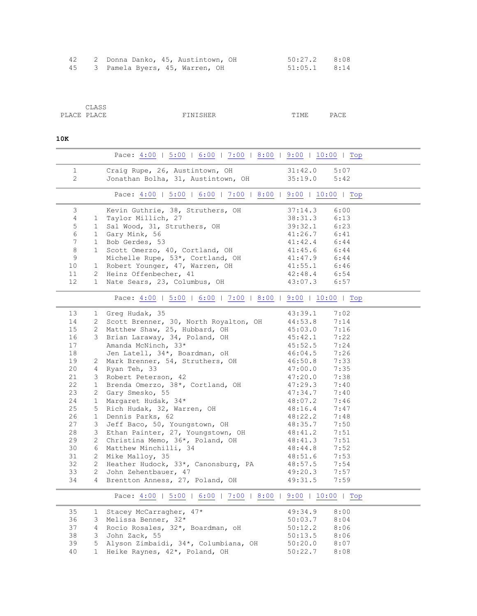|  | 2 Donna Danko, 45, Austintown, OH |  | 50:27.2 8:08   |  |
|--|-----------------------------------|--|----------------|--|
|  | 45 3 Pamela Byers, 45, Warren, OH |  | $51:05.1$ 8:14 |  |

| CLASS       |          |      |      |
|-------------|----------|------|------|
| PLACE PLACE | FINISHER | TIME | PACE |

### **10K**

<span id="page-2-2"></span><span id="page-2-1"></span><span id="page-2-0"></span>

|                |                       | Pace: 4:00   5:00   6:00   7:00   8:00   9:00   10:00   Top |                                    |
|----------------|-----------------------|-------------------------------------------------------------|------------------------------------|
| $\mathbf{1}$   |                       | Craig Rupe, 26, Austintown, OH                              | 31:42.0<br>5:07                    |
| $\overline{c}$ |                       | Jonathan Bolha, 31, Austintown, OH                          | 35:19.0<br>5:42                    |
|                |                       |                                                             |                                    |
|                |                       | Pace: 4:00   5:00   6:00   7:00   8:00   9:00   10:00   Top |                                    |
| 3              |                       | Kevin Guthrie, 38, Struthers, OH                            | 37:14.3<br>6:00                    |
| $\overline{4}$ | $\mathbf{1}$          | Taylor Millich, 27                                          | 38:31.3<br>6:13                    |
| 5              | $\mathbf{1}$          | Sal Wood, 31, Struthers, OH                                 | 39:32.1<br>6:23                    |
| 6              | 1                     | Gary Mink, 56                                               | 41:26.7<br>6:41                    |
| $\overline{7}$ | $\mathbf{1}$          | Bob Gerdes, 53                                              | 6:44<br>41:42.4                    |
| 8              | $\mathbf{1}$          | Scott Omerzo, 40, Cortland, OH                              | 41:45.6<br>6:44                    |
| 9              |                       | Michelle Rupe, 53*, Cortland, OH                            | 41:47.9<br>6:44                    |
| 10             | $\mathbf 1$           | Robert Younger, 47, Warren, OH                              | 41:55.1<br>6:46                    |
| 11             | $\overline{2}$        | Heinz Offenbecher, 41                                       | 42:48.4<br>6:54                    |
| 12             | 1                     | Nate Sears, 23, Columbus, OH                                | 43:07.3<br>6:57                    |
|                |                       | Pace: 4:00   5:00   6:00   7:00   8:00   9:00   10:00   Top |                                    |
| 13             | 1                     | Greg Hudak, 35                                              | 43:39.1<br>7:02                    |
| 14             | $\mathbf{2}$          | Scott Brenner, 30, North Royalton, OH                       | 44:53.8<br>7:14                    |
| 15             | $\mathbf{2}^{\circ}$  | Matthew Shaw, 25, Hubbard, OH                               | 45:03.0<br>7:16                    |
| 16             | 3                     | Brian Laraway, 34, Poland, OH                               | 45:42.1<br>7:22                    |
| 17             |                       | Amanda McNinch, 33*                                         | 45:52.5<br>7:24                    |
| 18             |                       | Jen Latell, 34*, Boardman, oH                               | 7:26<br>46:04.5                    |
| 19             | $\overline{2}$        | Mark Brenner, 54, Struthers, OH                             | 7:33<br>46:50.8                    |
| 20             | 4                     | Ryan Teh, 33                                                | 47:00.0<br>7:35                    |
| 21             | 3                     | Robert Peterson, 42                                         | 47:20.0<br>7:38                    |
| 22             | $\mathbf{1}$          | Brenda Omerzo, 38*, Cortland, OH                            | 47:29.3<br>7:40                    |
| 23             | $\mathbf{2}$          | Gary Smesko, 55                                             | 47:34.7<br>7:40                    |
| 24             | $\mathbf 1$           | Margaret Hudak, 34*                                         | 48:07.2<br>7:46                    |
| 25             | 5                     | Rich Hudak, 32, Warren, OH                                  | 48:16.4<br>7:47                    |
| 26             | $\mathbf{1}$          | Dennis Parks, 62                                            | 48:22.2<br>7:48                    |
| 27             | 3                     | Jeff Baco, 50, Youngstown, OH                               | 7:50<br>48:35.7                    |
| 28             | 3                     | Ethan Painter, 27, Youngstown, OH                           | 48:41.2<br>7:51                    |
| 29             | $\mathbf{2}^{\prime}$ | Christina Memo, 36*, Poland, OH                             | 7:51<br>48:41.3                    |
| 30             | 6                     | Matthew Minchilli, 34                                       | 7:52<br>48:44.8                    |
| 31             | $\overline{2}$        | Mike Malloy, 35                                             | 7:53<br>48:51.6                    |
| 32             | $\overline{2}$        | Heather Hudock, 33*, Canonsburg, PA                         | 48:57.5<br>7:54                    |
| 33             | 2                     | John Zehentbauer, 47                                        | 49:20.3<br>7:57                    |
| 34             | $\overline{4}$        | Brentton Anness, 27, Poland, OH                             | 49:31.5<br>7:59                    |
|                |                       | Pace: 4:00   5:00   6:00   7:00   8:00   9:00   10:00   Top |                                    |
|                |                       |                                                             |                                    |
| 35             | $\mathbf{1}$          | Stacey McCarragher, 47*                                     | 49:34.9<br>8:00                    |
| 36<br>37       | 3<br>4                | Melissa Benner, 32*                                         | 50:03.7<br>8:04                    |
| 38             | 3                     | Rocio Rosales, 32*, Boardman, oH                            | 50:12.2<br>8:06<br>50:13.5<br>8:06 |
| 39             | 5                     | John Zack, 55<br>Alyson Zimbaidi, 34*, Columbiana, OH       | 50:20.0<br>8:07                    |
|                |                       |                                                             |                                    |

<span id="page-2-3"></span>40 1 Heike Raynes, 42\*, Poland, OH 50:22.7 8:08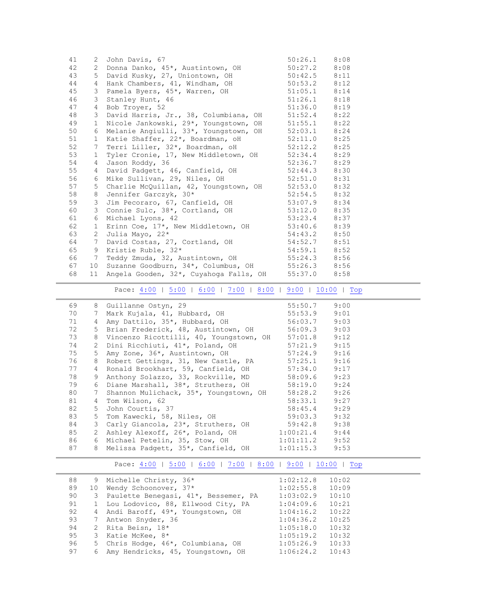| 41 | 2                     | John Davis, 67                         | 50:26.1 | 8:08 |
|----|-----------------------|----------------------------------------|---------|------|
| 42 | $\overline{2}$        | Donna Danko, 45*, Austintown, OH       | 50:27.2 | 8:08 |
| 43 | 5                     | David Kusky, 27, Uniontown, OH         | 50:42.5 | 8:11 |
| 44 | 4                     | Hank Chambers, 41, Windham, OH         | 50:53.2 | 8:12 |
| 45 | 3                     | Pamela Byers, 45*, Warren, OH          | 51:05.1 | 8:14 |
| 46 | 3                     | Stanley Hunt, 46                       | 51:26.1 | 8:18 |
| 47 | 4                     | Bob Troyer, 52                         | 51:36.0 | 8:19 |
| 48 | 3                     | David Harris, Jr., 38, Columbiana, OH  | 51:52.4 | 8:22 |
| 49 | $\mathbf{1}$          | Nicole Jankowski, 29*, Youngstown, OH  | 51:55.1 | 8:22 |
| 50 | 6                     | Melanie Angiulli, 33*, Youngstown, OH  | 52:03.1 | 8:24 |
| 51 | $\mathbf{1}$          | Katie Shaffer, 22*, Boardman, oH       | 52:11.0 | 8:25 |
| 52 | 7                     | Terri Liller, 32*, Boardman, oH        | 52:12.2 | 8:25 |
| 53 | $\mathbf 1$           | Tyler Cronie, 17, New Middletown, OH   | 52:34.4 | 8:29 |
| 54 | 4                     | Jason Roddy, 36                        | 52:36.7 | 8:29 |
| 55 | $\overline{4}$        | David Padgett, 46, Canfield, OH        | 52:44.3 | 8:30 |
| 56 | 6                     | Mike Sullivan, 29, Niles, OH           | 52:51.0 | 8:31 |
| 57 | 5                     | Charlie McQuillan, 42, Youngstown, OH  | 52:53.0 | 8:32 |
| 58 | 8                     | Jennifer Garczyk, 30*                  | 52:54.5 | 8:32 |
| 59 | 3                     | Jim Pecoraro, 67, Canfield, OH         | 53:07.9 | 8:34 |
| 60 | 3                     | Connie Sulc, 38*, Cortland, OH         | 53:12.0 | 8:35 |
| 61 | 6                     | Michael Lyons, 42                      | 53:23.4 | 8:37 |
| 62 | $\mathbf 1$           | Erinn Coe, 17*, New Middletown, OH     | 53:40.6 | 8:39 |
| 63 | $\mathbf{2}^{\prime}$ | Julia Mayo, 22*                        | 54:43.2 | 8:50 |
| 64 | 7                     | David Costas, 27, Cortland, OH         | 54:52.7 | 8:51 |
| 65 | 9                     | Kristie Ruble, 32*                     | 54:59.1 | 8:52 |
| 66 | 7                     | Teddy Zmuda, 32, Austintown, OH        | 55:24.3 | 8:56 |
| 67 | 10                    | Suzanne Goodburn, 34*, Columbus, OH    | 55:26.3 | 8:56 |
| 68 | 11                    | Angela Gooden, 32*, Cuyahoga Falls, OH | 55:37.0 | 8:58 |

Pace: <u>4:00</u> | [5:00](#page-2-0) | [6:00](#page-2-1) | [7:00](#page-2-2) | [8:00](#page-2-3) | [9:00](#page-3-0) | [10:00](#page-3-1) | [Top](#page-0-0)

<span id="page-3-0"></span>

| 69 |   | 8 Guillanne Ostyn, 29                                 | 55:50.7 9:00     |  |
|----|---|-------------------------------------------------------|------------------|--|
| 70 |   | 7 Mark Kujala, 41, Hubbard, OH 55:53.9 9:01           |                  |  |
| 71 | 4 | Amy Dattilo, 35*, Hubbard, OH 56:03.7 9:03            |                  |  |
| 72 |   | 5 Brian Frederick, 48, Austintown, OH 56:09.3 9:03    |                  |  |
| 73 |   | 8 Vincenzo Ricottilli, 40, Youngstown, OH             | $57:01.8$ 9:12   |  |
| 74 |   | 2 Dini Ricchiuti, 41*, Poland, OH 57:21.9 9:15        |                  |  |
| 75 |   | 5 Amy Zone, 36*, Austintown, OH 57:24.9 9:16          |                  |  |
| 76 |   | 8 Robert Gettings, 31, New Castle, PA 57:25.1 9:16    |                  |  |
| 77 |   | 4 Ronald Brookhart, 59, Canfield, OH 57:34.0 9:17     |                  |  |
| 78 |   | 9 Anthony Solazzo, 33, Rockville, MD 58:09.6 9:23     |                  |  |
| 79 |   | 6 Diane Marshall, 38*, Struthers, OH 58:19.0 9:24     |                  |  |
| 80 |   | 7 Shannon Mulichack, 35*, Youngstown, OH 58:28.2 9:26 |                  |  |
| 81 |   | 4 Tom Wilson, 62                                      | $58:33.1$ 9:27   |  |
| 82 |   | 5 John Courtis, 37                                    | $58:45.4$ 9:29   |  |
| 83 |   | 5 Tom Kawecki, 58, Niles, OH                          | $59:03.3$ $9:32$ |  |
| 84 |   | 3 Carly Giancola, 23*, Struthers, OH 59:42.8 9:38     |                  |  |
| 85 |   | 2 Ashley Alexoff, 26*, Poland, OH 1:00:21.4 9:44      |                  |  |
| 86 |   | 6 Michael Petelin, 35, Stow, OH 1:01:11.2 9:52        |                  |  |
| 87 |   | 8 Melissa Padgett, 35*, Canfield, OH 1:01:15.3 9:53   |                  |  |
|    |   |                                                       |                  |  |

Pace: <u>4:00</u> | [5:00](#page-2-0) | [6:00](#page-2-1) | [7:00](#page-2-2) | [8:00](#page-2-3) | [9:00](#page-3-0) | [10:00](#page-3-1) | [Top](#page-0-0)

<span id="page-3-1"></span>

| 88 |    | 9 Michelle Christy, 36*                | 1:02:12.8 | 10:02 |
|----|----|----------------------------------------|-----------|-------|
| 89 | 10 | Wendy Schoonover, 37*                  | 1:02:55.8 | 10:09 |
| 90 |    | 3 Paulette Benegasi, 41*, Bessemer, PA | 1:03:02.9 | 10:10 |
| 91 |    | 1 Lou Lodovico, 88, Ellwood City, PA   | 1:04:09.6 | 10:21 |
| 92 |    | 4 Andi Baroff, 49*, Youngstown, OH     | 1:04:16.2 | 10:22 |
| 93 |    | Antwon Snyder, 36                      | 1:04:36.2 | 10:25 |
| 94 |    | 2 Rita Beisn, 18*                      | 1:05:18.0 | 10:32 |
| 95 | 3  | Katie McKee, 8*                        | 1:05:19.2 | 10:32 |
| 96 |    | 5 Chris Hodge, 46*, Columbiana, OH     | 1:05:26.9 | 10:33 |
| 97 |    | 6 Amy Hendricks, 45, Youngstown, OH    | 1:06:24.2 | 10:43 |